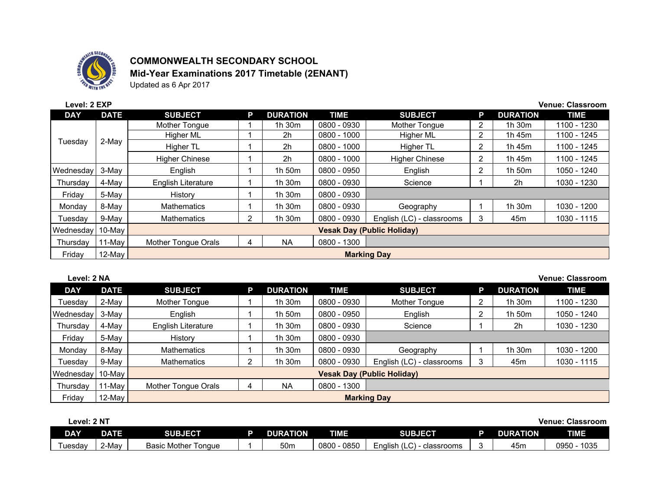

## **COMMONWEALTH SECONDARY SCHOOL**

**Mid-Year Examinations 2017 Timetable (2ENANT)**

Updated as 6 Apr 2017

| Level: 2 EXP |             |                                   |   |                 |               |                           |                |                 | <b>Venue: Classroom</b> |
|--------------|-------------|-----------------------------------|---|-----------------|---------------|---------------------------|----------------|-----------------|-------------------------|
| <b>DAY</b>   | <b>DATE</b> | <b>SUBJECT</b>                    | P | <b>DURATION</b> | <b>TIME</b>   | <b>SUBJECT</b>            | P              | <b>DURATION</b> | <b>TIME</b>             |
|              |             | Mother Tongue                     |   | 1h 30m          | 0800 - 0930   | Mother Tongue             | 2              | 1h 30m          | 1100 - 1230             |
|              |             | Higher ML                         |   | 2 <sub>h</sub>  | $0800 - 1000$ | Higher ML                 | 2              | 1h 45m          | 1100 - 1245             |
| Tuesday      | 2-May       | Higher TL                         |   | 2 <sub>h</sub>  | $0800 - 1000$ | Higher TL                 | 2              | 1h 45m          | 1100 - 1245             |
|              |             | <b>Higher Chinese</b>             |   | 2 <sub>h</sub>  | $0800 - 1000$ | <b>Higher Chinese</b>     | $\overline{2}$ | 1h 45m          | 1100 - 1245             |
| Wednesdav    | 3-May       | English                           |   | 1h 50m          | 0800 - 0950   | English                   | 2              | 1h 50m          | 1050 - 1240             |
| Thursdav     | 4-May       | English Literature                |   | 1h 30m          | 0800 - 0930   | Science                   |                | 2h              | 1030 - 1230             |
| Friday       | 5-May       | History                           |   | 1h 30m          | 0800 - 0930   |                           |                |                 |                         |
| Monday       | 8-May       | <b>Mathematics</b>                |   | 1h 30m          | 0800 - 0930   | Geography                 |                | 1h 30m          | 1030 - 1200             |
| Tuesday      | 9-May       | <b>Mathematics</b>                | 2 | 1h 30m          | 0800 - 0930   | English (LC) - classrooms | 3              | 45m             | 1030 - 1115             |
| Wednesdavl   | 10-May      | <b>Vesak Day (Public Holiday)</b> |   |                 |               |                           |                |                 |                         |
| Thursday     | 11-May      | Mother Tongue Orals               | 4 | <b>NA</b>       | $0800 - 1300$ |                           |                |                 |                         |
| Friday       | 12-May      |                                   |   |                 |               | <b>Marking Day</b>        |                |                 |                         |

**Level: 2 NA Venue: Classroom**

| <b>DAY</b> | <b>DATE</b> | <b>SUBJECT</b>                    | P. | <b>DURATION</b> | <b>TIME</b> | <b>SUBJECT</b>            |   | <b>DURATION</b> | <b>TIME</b> |  |  |
|------------|-------------|-----------------------------------|----|-----------------|-------------|---------------------------|---|-----------------|-------------|--|--|
| Tuesdav    | 2-May       | Mother Tongue                     |    | 1h 30m          | 0800 - 0930 | Mother Tongue             |   | $1h$ 30 $m$     | 1100 - 1230 |  |  |
| Wednesday  | 3-May       | English                           |    | 1h 50m          | 0800 - 0950 | English                   |   | 1h 50m          | 1050 - 1240 |  |  |
| Thursday   | 4-May       | English Literature                |    | 1h 30m          | 0800 - 0930 | Science                   |   | 2h              | 1030 - 1230 |  |  |
| Friday     | 5-May       | History                           |    | 1h 30m          | 0800 - 0930 |                           |   |                 |             |  |  |
| Monday     | 8-May       | <b>Mathematics</b>                |    | 1h 30m          | 0800 - 0930 | Geography                 |   | 1h 30m          | 1030 - 1200 |  |  |
| Tuesdav    | 9-May       | Mathematics                       |    | 1h 30m          | 0800 - 0930 | English (LC) - classrooms | 3 | 45m             | 1030 - 1115 |  |  |
| Wednesday  | 10-May      | <b>Vesak Day (Public Holiday)</b> |    |                 |             |                           |   |                 |             |  |  |
| Thursday   | 11-May      | Mother Tongue Orals               | 4  | <b>NA</b>       | 0800 - 1300 |                           |   |                 |             |  |  |
| Friday     | 12-May      | <b>Marking Day</b>                |    |                 |             |                           |   |                 |             |  |  |

| Level: 2 NT<br>Venue: \ |             |                        |  |                 |             |                                |  |                 | <b>Classroom</b> |
|-------------------------|-------------|------------------------|--|-----------------|-------------|--------------------------------|--|-----------------|------------------|
| <b>DAY</b>              | <b>DATE</b> | <b>SUBJECT</b>         |  | <b>DURATION</b> | <b>TIME</b> | <b>SUBJECT</b>                 |  | <b>DURATION</b> | <b>TIME</b>      |
| ⊺uesdav                 | ∠-Mav       | Basic Mother<br>Tonaue |  | 50m             | 0800 - 0850 | English $(LC)$<br>- classrooms |  | 45m             | 1035<br>0950     |